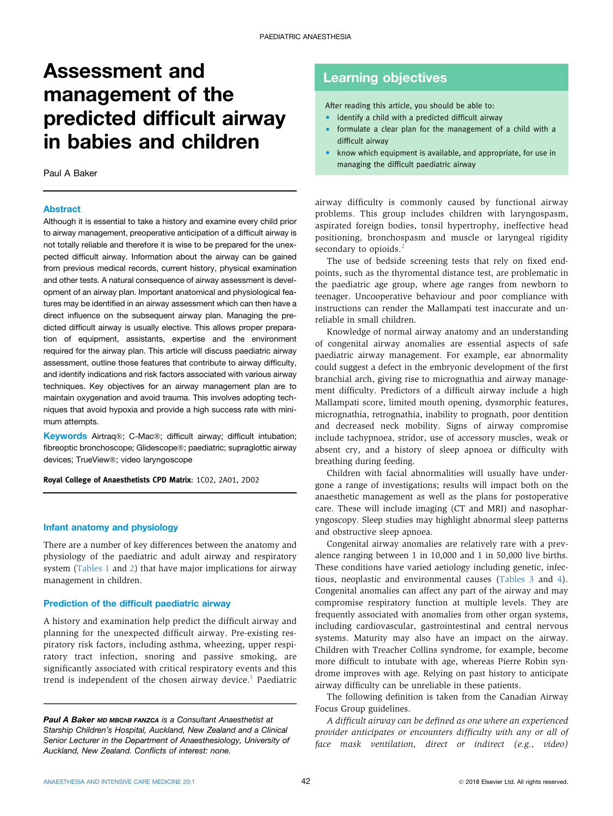# Assessment and management of the predicted difficult airway in babies and children

Paul A Baker

#### Abstract

Although it is essential to take a history and examine every child prior to airway management, preoperative anticipation of a difficult airway is not totally reliable and therefore it is wise to be prepared for the unexpected difficult airway. Information about the airway can be gained from previous medical records, current history, physical examination and other tests. A natural consequence of airway assessment is development of an airway plan. Important anatomical and physiological features may be identified in an airway assessment which can then have a direct influence on the subsequent airway plan. Managing the predicted difficult airway is usually elective. This allows proper preparation of equipment, assistants, expertise and the environment required for the airway plan. This article will discuss paediatric airway assessment, outline those features that contribute to airway difficulty, and identify indications and risk factors associated with various airway techniques. Key objectives for an airway management plan are to maintain oxygenation and avoid trauma. This involves adopting techniques that avoid hypoxia and provide a high success rate with minimum attempts.

Keywords Airtraq®; C-Mac®; difficult airway; difficult intubation; fibreoptic bronchoscope; Glidescope®; paediatric; supraglottic airway devices; TrueView®; video laryngoscope

Royal College of Anaesthetists CPD Matrix: 1C02, 2A01, 2D02

#### Infant anatomy and physiology

There are a number of key differences between the anatomy and physiology of the paediatric and adult airway and respiratory system ([Tables 1](#page-1-0) and [2\)](#page-1-0) that have major implications for airway management in children.

#### Prediction of the difficult paediatric airway

A history and examination help predict the difficult airway and planning for the unexpected difficult airway. Pre-existing respiratory risk factors, including asthma, wheezing, upper respiratory tract infection, snoring and passive smoking, are significantly associated with critical respiratory events and this trend is independent of the chosen airway device.<sup>[1](#page-9-0)</sup> Paediatric

# Learning objectives

After reading this article, you should be able to:

- identify a child with a predicted difficult airway
- formulate a clear plan for the management of a child with a difficult airway
- know which equipment is available, and appropriate, for use in managing the difficult paediatric airway

airway difficulty is commonly caused by functional airway problems. This group includes children with laryngospasm, aspirated foreign bodies, tonsil hypertrophy, ineffective head positioning, bronchospasm and muscle or laryngeal rigidity secondary to opioids.<sup>[2](#page-9-0)</sup>

The use of bedside screening tests that rely on fixed endpoints, such as the thyromental distance test, are problematic in the paediatric age group, where age ranges from newborn to teenager. Uncooperative behaviour and poor compliance with instructions can render the Mallampati test inaccurate and unreliable in small children.

Knowledge of normal airway anatomy and an understanding of congenital airway anomalies are essential aspects of safe paediatric airway management. For example, ear abnormality could suggest a defect in the embryonic development of the first branchial arch, giving rise to micrognathia and airway management difficulty. Predictors of a difficult airway include a high Mallampati score, limited mouth opening, dysmorphic features, micrognathia, retrognathia, inability to prognath, poor dentition and decreased neck mobility. Signs of airway compromise include tachypnoea, stridor, use of accessory muscles, weak or absent cry, and a history of sleep apnoea or difficulty with breathing during feeding.

Children with facial abnormalities will usually have undergone a range of investigations; results will impact both on the anaesthetic management as well as the plans for postoperative care. These will include imaging (CT and MRI) and nasopharyngoscopy. Sleep studies may highlight abnormal sleep patterns and obstructive sleep apnoea.

Congenital airway anomalies are relatively rare with a prevalence ranging between 1 in 10,000 and 1 in 50,000 live births. These conditions have varied aetiology including genetic, infectious, neoplastic and environmental causes [\(Tables 3](#page-2-0) and [4](#page-3-0)). Congenital anomalies can affect any part of the airway and may compromise respiratory function at multiple levels. They are frequently associated with anomalies from other organ systems, including cardiovascular, gastrointestinal and central nervous systems. Maturity may also have an impact on the airway. Children with Treacher Collins syndrome, for example, become more difficult to intubate with age, whereas Pierre Robin syndrome improves with age. Relying on past history to anticipate airway difficulty can be unreliable in these patients.

The following definition is taken from the Canadian Airway Focus Group guidelines.

A difficult airway can be defined as one where an experienced provider anticipates or encounters difficulty with any or all of face mask ventilation, direct or indirect (e.g., video)

**Paul A Baker MD MBChB FANZCA is a Consultant Anaesthetist at** Starship Children's Hospital, Auckland, New Zealand and a Clinical Senior Lecturer in the Department of Anaesthesiology, University of Auckland, New Zealand. Conflicts of interest: none.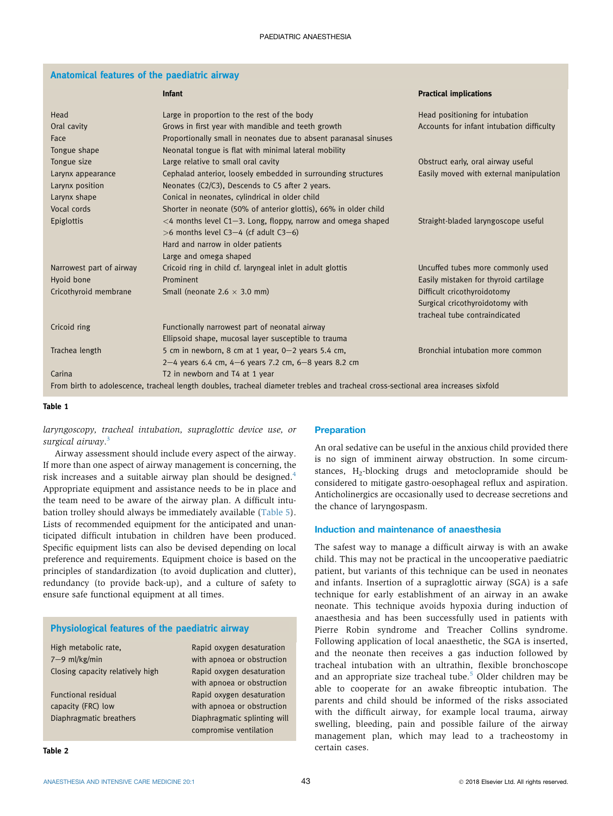# <span id="page-1-0"></span>Anatomical features of the paediatric airway

#### **Infant** Practical implications **Contractive Contractive Contractive Contractive Practical implications**

| Head                     | Large in proportion to the rest of the body                                                                                       | Head positioning for intubation         |  |
|--------------------------|-----------------------------------------------------------------------------------------------------------------------------------|-----------------------------------------|--|
| Oral cavity              | Grows in first year with mandible and teeth growth<br>Accounts for infant intubation difficulty                                   |                                         |  |
| Face                     | Proportionally small in neonates due to absent paranasal sinuses                                                                  |                                         |  |
| Tongue shape             | Neonatal tongue is flat with minimal lateral mobility                                                                             |                                         |  |
| Tongue size              | Large relative to small oral cavity                                                                                               | Obstruct early, oral airway useful      |  |
| Larynx appearance        | Cephalad anterior, loosely embedded in surrounding structures                                                                     | Easily moved with external manipulation |  |
| Larynx position          | Neonates (C2/C3), Descends to C5 after 2 years.                                                                                   |                                         |  |
| Larynx shape             | Conical in neonates, cylindrical in older child                                                                                   |                                         |  |
| Vocal cords              | Shorter in neonate (50% of anterior glottis), 66% in older child                                                                  |                                         |  |
| Epiglottis               | $<$ 4 months level C1-3. Long, floppy, narrow and omega shaped                                                                    | Straight-bladed laryngoscope useful     |  |
|                          | $>6$ months level C3-4 (cf adult C3-6)                                                                                            |                                         |  |
|                          | Hard and narrow in older patients                                                                                                 |                                         |  |
|                          | Large and omega shaped                                                                                                            |                                         |  |
| Narrowest part of airway | Cricoid ring in child cf. laryngeal inlet in adult glottis                                                                        | Uncuffed tubes more commonly used       |  |
| Hyoid bone               | Prominent                                                                                                                         | Easily mistaken for thyroid cartilage   |  |
| Cricothyroid membrane    | Small (neonate $2.6 \times 3.0$ mm)                                                                                               | Difficult cricothyroidotomy             |  |
|                          |                                                                                                                                   | Surgical cricothyroidotomy with         |  |
|                          |                                                                                                                                   | tracheal tube contraindicated           |  |
| Cricoid ring             | Functionally narrowest part of neonatal airway                                                                                    |                                         |  |
|                          | Ellipsoid shape, mucosal layer susceptible to trauma                                                                              |                                         |  |
| Trachea length           | 5 cm in newborn, 8 cm at 1 year, 0-2 years 5.4 cm,                                                                                | Bronchial intubation more common        |  |
|                          | 2-4 years 6.4 cm, 4-6 years 7.2 cm, 6-8 years 8.2 cm                                                                              |                                         |  |
| Carina                   | T <sub>2</sub> in newborn and T <sub>4</sub> at 1 year                                                                            |                                         |  |
|                          | From birth to adolescence, tracheal length doubles, tracheal diameter trebles and tracheal cross-sectional area increases sixfold |                                         |  |

### Table 1

laryngoscopy, tracheal intubation, supraglottic device use, or surgical airway.<sup>[3](#page-9-0)</sup>

Airway assessment should include every aspect of the airway. If more than one aspect of airway management is concerning, the risk increases and a suitable airway plan should be designed.<sup>[4](#page-9-0)</sup> Appropriate equipment and assistance needs to be in place and the team need to be aware of the airway plan. A difficult intubation trolley should always be immediately available ([Table 5\)](#page-5-0). Lists of recommended equipment for the anticipated and unanticipated difficult intubation in children have been produced. Specific equipment lists can also be devised depending on local preference and requirements. Equipment choice is based on the principles of standardization (to avoid duplication and clutter), redundancy (to provide back-up), and a culture of safety to ensure safe functional equipment at all times.

| Physiological features of the paediatric airway                             |                                                                                                                   |  |  |  |
|-----------------------------------------------------------------------------|-------------------------------------------------------------------------------------------------------------------|--|--|--|
| High metabolic rate,<br>$7-9$ ml/kg/min                                     | Rapid oxygen desaturation<br>with apnoea or obstruction                                                           |  |  |  |
| Closing capacity relatively high                                            | Rapid oxygen desaturation<br>with apnoea or obstruction                                                           |  |  |  |
| <b>Functional residual</b><br>capacity (FRC) low<br>Diaphragmatic breathers | Rapid oxygen desaturation<br>with apnoea or obstruction<br>Diaphragmatic splinting will<br>compromise ventilation |  |  |  |

# **Preparation**

An oral sedative can be useful in the anxious child provided there is no sign of imminent airway obstruction. In some circumstances,  $H_2$ -blocking drugs and metoclopramide should be considered to mitigate gastro-oesophageal reflux and aspiration. Anticholinergics are occasionally used to decrease secretions and the chance of laryngospasm.

#### Induction and maintenance of anaesthesia

The safest way to manage a difficult airway is with an awake child. This may not be practical in the uncooperative paediatric patient, but variants of this technique can be used in neonates and infants. Insertion of a supraglottic airway (SGA) is a safe technique for early establishment of an airway in an awake neonate. This technique avoids hypoxia during induction of anaesthesia and has been successfully used in patients with Pierre Robin syndrome and Treacher Collins syndrome. Following application of local anaesthetic, the SGA is inserted, and the neonate then receives a gas induction followed by tracheal intubation with an ultrathin, flexible bronchoscope and an appropriate size tracheal tube.<sup>[5](#page-9-0)</sup> Older children may be able to cooperate for an awake fibreoptic intubation. The parents and child should be informed of the risks associated with the difficult airway, for example local trauma, airway swelling, bleeding, pain and possible failure of the airway management plan, which may lead to a tracheostomy in certain cases.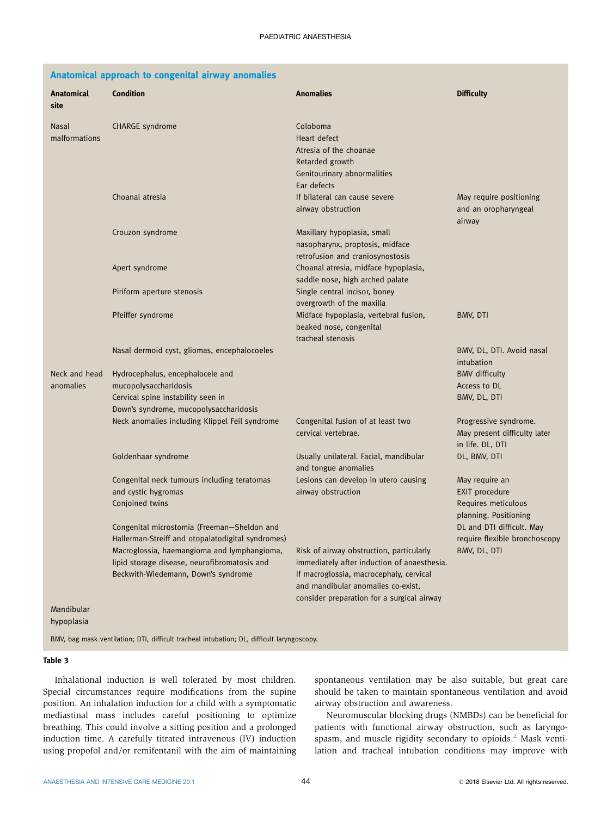<span id="page-2-0"></span>

| Anatomical approach to congenital airway anomalies |  |  |  |  |  |
|----------------------------------------------------|--|--|--|--|--|
|----------------------------------------------------|--|--|--|--|--|

| Anatomical<br>site         | <b>Condition</b>                                                                                                                          | <b>Anomalies</b>                                                                                                                                                                                                       | <b>Difficulty</b>                                                                |
|----------------------------|-------------------------------------------------------------------------------------------------------------------------------------------|------------------------------------------------------------------------------------------------------------------------------------------------------------------------------------------------------------------------|----------------------------------------------------------------------------------|
| Nasal<br>malformations     | CHARGE syndrome                                                                                                                           | Coloboma<br>Heart defect<br>Atresia of the choanae<br>Retarded growth<br>Genitourinary abnormalities<br>Ear defects                                                                                                    |                                                                                  |
|                            | Choanal atresia                                                                                                                           | If bilateral can cause severe<br>airway obstruction                                                                                                                                                                    | May require positioning<br>and an oropharyngeal<br>airway                        |
|                            | Crouzon syndrome                                                                                                                          | Maxillary hypoplasia, small<br>nasopharynx, proptosis, midface<br>retrofusion and craniosynostosis                                                                                                                     |                                                                                  |
|                            | Apert syndrome                                                                                                                            | Choanal atresia, midface hypoplasia,<br>saddle nose, high arched palate                                                                                                                                                |                                                                                  |
|                            | Piriform aperture stenosis                                                                                                                | Single central incisor, boney<br>overgrowth of the maxilla                                                                                                                                                             |                                                                                  |
|                            | Pfeiffer syndrome                                                                                                                         | Midface hypoplasia, vertebral fusion,<br>beaked nose, congenital<br>tracheal stenosis                                                                                                                                  | BMV, DTI                                                                         |
|                            | Nasal dermoid cyst, gliomas, encephalocoeles                                                                                              |                                                                                                                                                                                                                        | BMV, DL, DTI. Avoid nasal<br>intubation                                          |
| Neck and head<br>anomalies | Hydrocephalus, encephalocele and<br>mucopolysaccharidosis<br>Cervical spine instability seen in<br>Down's syndrome, mucopolysaccharidosis |                                                                                                                                                                                                                        | <b>BMV</b> difficulty<br>Access to DL<br>BMV, DL, DTI                            |
|                            | Neck anomalies including Klippel Feil syndrome                                                                                            | Congenital fusion of at least two<br>cervical vertebrae.                                                                                                                                                               | Progressive syndrome.<br>May present difficulty later<br>in life. DL, DTI        |
|                            | Goldenhaar syndrome                                                                                                                       | Usually unilateral. Facial, mandibular<br>and tongue anomalies                                                                                                                                                         | DL, BMV, DTI                                                                     |
|                            | Congenital neck tumours including teratomas<br>and cystic hygromas<br>Conjoined twins                                                     | Lesions can develop in utero causing<br>airway obstruction                                                                                                                                                             | May require an<br>EXIT procedure<br>Requires meticulous<br>planning. Positioning |
|                            | Congenital microstomia (Freeman-Sheldon and<br>Hallerman-Streiff and otopalatodigital syndromes)                                          |                                                                                                                                                                                                                        | DL and DTI difficult. May<br>require flexible bronchoscopy                       |
|                            | Macroglossia, haemangioma and lymphangioma,<br>lipid storage disease, neurofibromatosis and<br>Beckwith-Wiedemann, Down's syndrome        | Risk of airway obstruction, particularly<br>immediately after induction of anaesthesia.<br>If macroglossia, macrocephaly, cervical<br>and mandibular anomalies co-exist,<br>consider preparation for a surgical airway | BMV, DL, DTI                                                                     |
| Mandibular<br>hypoplasia   |                                                                                                                                           |                                                                                                                                                                                                                        |                                                                                  |

Table 3

Inhalational induction is well tolerated by most children. Special circumstances require modifications from the supine position. An inhalation induction for a child with a symptomatic mediastinal mass includes careful positioning to optimize breathing. This could involve a sitting position and a prolonged induction time. A carefully titrated intravenous (IV) induction using propofol and/or remifentanil with the aim of maintaining

BMV, bag mask ventilation; DTI, difficult tracheal intubation; DL, difficult laryngoscopy.

spontaneous ventilation may be also suitable, but great care should be taken to maintain spontaneous ventilation and avoid airway obstruction and awareness.

Neuromuscular blocking drugs (NMBDs) can be beneficial for patients with functional airway obstruction, such as laryngospasm, and muscle rigidity secondary to opioids. $<sup>2</sup>$  $<sup>2</sup>$  $<sup>2</sup>$  Mask venti-</sup> lation and tracheal intubation conditions may improve with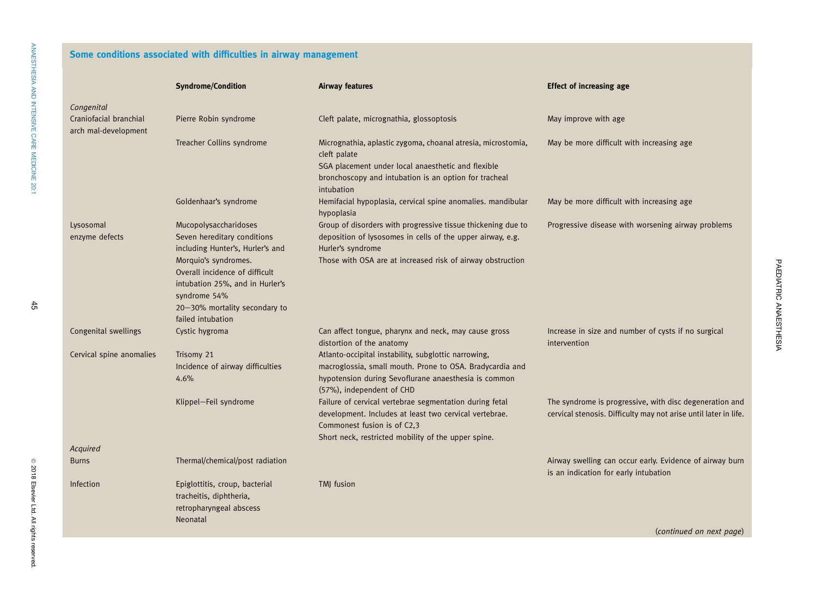# <span id="page-3-0"></span>Some conditions associated with difficulties in airway management

|                                                | <b>Syndrome/Condition</b>                                                                                                     | <b>Airway features</b>                                                                                                                                                                                                               | <b>Effect of increasing age</b>                                                                                             |
|------------------------------------------------|-------------------------------------------------------------------------------------------------------------------------------|--------------------------------------------------------------------------------------------------------------------------------------------------------------------------------------------------------------------------------------|-----------------------------------------------------------------------------------------------------------------------------|
| Congenital                                     |                                                                                                                               |                                                                                                                                                                                                                                      |                                                                                                                             |
| Craniofacial branchial<br>arch mal-development | Pierre Robin syndrome                                                                                                         | Cleft palate, micrognathia, glossoptosis                                                                                                                                                                                             | May improve with age                                                                                                        |
|                                                | Treacher Collins syndrome                                                                                                     | Micrognathia, aplastic zygoma, choanal atresia, microstomia,<br>cleft palate                                                                                                                                                         | May be more difficult with increasing age                                                                                   |
|                                                |                                                                                                                               | SGA placement under local anaesthetic and flexible<br>bronchoscopy and intubation is an option for tracheal<br>intubation                                                                                                            |                                                                                                                             |
|                                                | Goldenhaar's syndrome                                                                                                         | Hemifacial hypoplasia, cervical spine anomalies. mandibular<br>hypoplasia                                                                                                                                                            | May be more difficult with increasing age                                                                                   |
| Lysosomal<br>enzyme defects                    | Mucopolysaccharidoses<br>Seven hereditary conditions                                                                          | Group of disorders with progressive tissue thickening due to<br>deposition of lysosomes in cells of the upper airway, e.g.                                                                                                           | Progressive disease with worsening airway problems                                                                          |
|                                                | including Hunter's, Hurler's and<br>Morquio's syndromes.<br>Overall incidence of difficult<br>intubation 25%, and in Hurler's | Hurler's syndrome<br>Those with OSA are at increased risk of airway obstruction                                                                                                                                                      |                                                                                                                             |
|                                                | syndrome 54%<br>20-30% mortality secondary to<br>failed intubation                                                            |                                                                                                                                                                                                                                      |                                                                                                                             |
| Congenital swellings                           | Cystic hygroma                                                                                                                | Can affect tongue, pharynx and neck, may cause gross<br>distortion of the anatomy                                                                                                                                                    | Increase in size and number of cysts if no surgical<br>intervention                                                         |
| Cervical spine anomalies                       | Trisomy 21                                                                                                                    | Atlanto-occipital instability, subglottic narrowing,                                                                                                                                                                                 |                                                                                                                             |
|                                                | Incidence of airway difficulties<br>4.6%                                                                                      | macroglossia, small mouth. Prone to OSA. Bradycardia and<br>hypotension during Sevoflurane anaesthesia is common                                                                                                                     |                                                                                                                             |
|                                                | Klippel-Feil syndrome                                                                                                         | (57%), independent of CHD<br>Failure of cervical vertebrae segmentation during fetal<br>development. Includes at least two cervical vertebrae.<br>Commonest fusion is of C2.3<br>Short neck, restricted mobility of the upper spine. | The syndrome is progressive, with disc degeneration and<br>cervical stenosis. Difficulty may not arise until later in life. |
| Acquired                                       |                                                                                                                               |                                                                                                                                                                                                                                      |                                                                                                                             |
| <b>Burns</b>                                   | Thermal/chemical/post radiation                                                                                               |                                                                                                                                                                                                                                      | Airway swelling can occur early. Evidence of airway burn<br>is an indication for early intubation                           |
| Infection                                      | Epiglottitis, croup, bacterial<br>tracheitis, diphtheria,<br>retropharyngeal abscess                                          | TMJ fusion                                                                                                                                                                                                                           |                                                                                                                             |
|                                                | Neonatal                                                                                                                      |                                                                                                                                                                                                                                      |                                                                                                                             |
|                                                |                                                                                                                               |                                                                                                                                                                                                                                      | (continued on next page)                                                                                                    |

45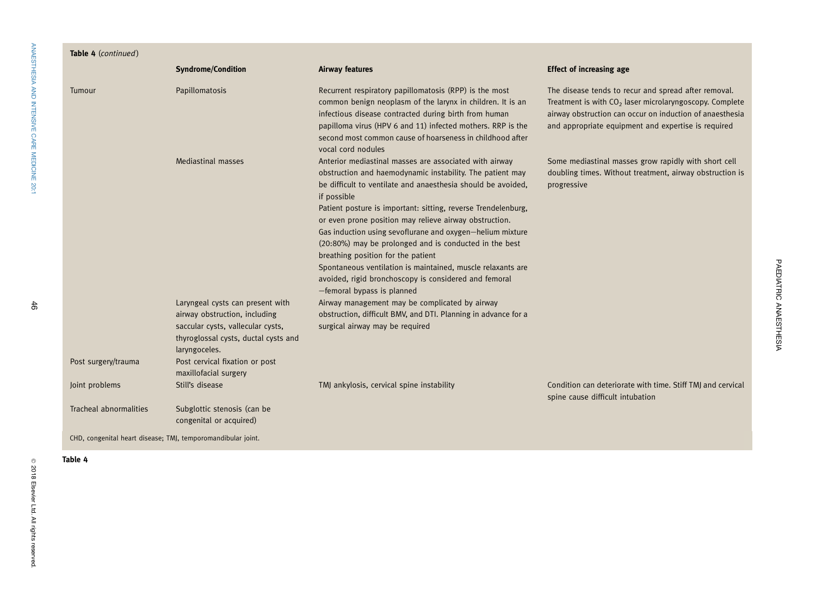| <b>Table 4</b> (continued) | <b>Syndrome/Condition</b>                                                                                                                                                                                               | <b>Airway features</b>                                                                                                                                                                                                                                                                                                                                                                                                                                                                                                                                                                                                                                                                                                                                                                                  | <b>Effect of increasing age</b>                                                                                                                                                                                                      |
|----------------------------|-------------------------------------------------------------------------------------------------------------------------------------------------------------------------------------------------------------------------|---------------------------------------------------------------------------------------------------------------------------------------------------------------------------------------------------------------------------------------------------------------------------------------------------------------------------------------------------------------------------------------------------------------------------------------------------------------------------------------------------------------------------------------------------------------------------------------------------------------------------------------------------------------------------------------------------------------------------------------------------------------------------------------------------------|--------------------------------------------------------------------------------------------------------------------------------------------------------------------------------------------------------------------------------------|
|                            |                                                                                                                                                                                                                         |                                                                                                                                                                                                                                                                                                                                                                                                                                                                                                                                                                                                                                                                                                                                                                                                         |                                                                                                                                                                                                                                      |
| Tumour                     | Papillomatosis                                                                                                                                                                                                          | Recurrent respiratory papillomatosis (RPP) is the most<br>common benign neoplasm of the larynx in children. It is an<br>infectious disease contracted during birth from human<br>papilloma virus (HPV 6 and 11) infected mothers. RRP is the<br>second most common cause of hoarseness in childhood after<br>vocal cord nodules                                                                                                                                                                                                                                                                                                                                                                                                                                                                         | The disease tends to recur and spread after removal.<br>Treatment is with $CO2$ laser microlaryngoscopy. Complete<br>airway obstruction can occur on induction of anaesthesia<br>and appropriate equipment and expertise is required |
| Post surgery/trauma        | Mediastinal masses<br>Laryngeal cysts can present with<br>airway obstruction, including<br>saccular cysts, vallecular cysts,<br>thyroglossal cysts, ductal cysts and<br>laryngoceles.<br>Post cervical fixation or post | Anterior mediastinal masses are associated with airway<br>obstruction and haemodynamic instability. The patient may<br>be difficult to ventilate and anaesthesia should be avoided,<br>if possible<br>Patient posture is important: sitting, reverse Trendelenburg,<br>or even prone position may relieve airway obstruction.<br>Gas induction using sevoflurane and oxygen-helium mixture<br>(20:80%) may be prolonged and is conducted in the best<br>breathing position for the patient<br>Spontaneous ventilation is maintained, muscle relaxants are<br>avoided, rigid bronchoscopy is considered and femoral<br>-femoral bypass is planned<br>Airway management may be complicated by airway<br>obstruction, difficult BMV, and DTI. Planning in advance for a<br>surgical airway may be required | Some mediastinal masses grow rapidly with short cell<br>doubling times. Without treatment, airway obstruction is<br>progressive                                                                                                      |
|                            | maxillofacial surgery                                                                                                                                                                                                   |                                                                                                                                                                                                                                                                                                                                                                                                                                                                                                                                                                                                                                                                                                                                                                                                         |                                                                                                                                                                                                                                      |
| Joint problems             | Still's disease                                                                                                                                                                                                         | TMJ ankylosis, cervical spine instability                                                                                                                                                                                                                                                                                                                                                                                                                                                                                                                                                                                                                                                                                                                                                               | Condition can deteriorate with time. Stiff TMJ and cervical<br>spine cause difficult intubation                                                                                                                                      |
| Tracheal abnormalities     | Subglottic stenosis (can be<br>congenital or acquired)                                                                                                                                                                  |                                                                                                                                                                                                                                                                                                                                                                                                                                                                                                                                                                                                                                                                                                                                                                                                         |                                                                                                                                                                                                                                      |
|                            | CHD, congenital heart disease; TMJ, temporomandibular joint.                                                                                                                                                            |                                                                                                                                                                                                                                                                                                                                                                                                                                                                                                                                                                                                                                                                                                                                                                                                         |                                                                                                                                                                                                                                      |

Table 4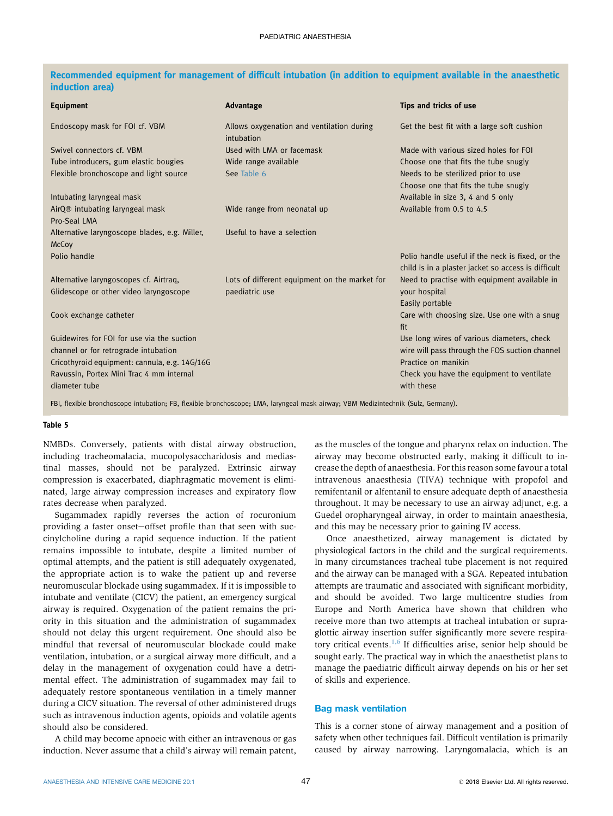| <b>Equipment</b>                                                                                                                  | Advantage                                               | Tips and tricks of use                              |  |  |
|-----------------------------------------------------------------------------------------------------------------------------------|---------------------------------------------------------|-----------------------------------------------------|--|--|
| Endoscopy mask for FOI cf. VBM                                                                                                    | Allows oxygenation and ventilation during<br>intubation | Get the best fit with a large soft cushion          |  |  |
| Swivel connectors cf. VBM                                                                                                         | Used with LMA or facemask                               | Made with various sized holes for FOI               |  |  |
| Tube introducers, gum elastic bougies                                                                                             | Wide range available                                    | Choose one that fits the tube snugly                |  |  |
| Flexible bronchoscope and light source                                                                                            | See Table 6                                             | Needs to be sterilized prior to use                 |  |  |
|                                                                                                                                   |                                                         | Choose one that fits the tube snugly                |  |  |
| Intubating laryngeal mask                                                                                                         |                                                         | Available in size 3, 4 and 5 only                   |  |  |
| AirQ <sup>®</sup> intubating laryngeal mask                                                                                       | Wide range from neonatal up                             | Available from 0.5 to 4.5                           |  |  |
| Pro-Seal LMA                                                                                                                      |                                                         |                                                     |  |  |
| Alternative laryngoscope blades, e.g. Miller,                                                                                     | Useful to have a selection                              |                                                     |  |  |
| McCov                                                                                                                             |                                                         |                                                     |  |  |
| Polio handle                                                                                                                      |                                                         | Polio handle useful if the neck is fixed, or the    |  |  |
|                                                                                                                                   |                                                         | child is in a plaster jacket so access is difficult |  |  |
| Alternative laryngoscopes cf. Airtraq,                                                                                            | Lots of different equipment on the market for           | Need to practise with equipment available in        |  |  |
| Glidescope or other video laryngoscope                                                                                            | paediatric use                                          | your hospital                                       |  |  |
|                                                                                                                                   |                                                         | Easily portable                                     |  |  |
| Cook exchange catheter                                                                                                            |                                                         | Care with choosing size. Use one with a snug        |  |  |
|                                                                                                                                   |                                                         | fit                                                 |  |  |
| Guidewires for FOI for use via the suction                                                                                        |                                                         | Use long wires of various diameters, check          |  |  |
| channel or for retrograde intubation                                                                                              |                                                         | wire will pass through the FOS suction channel      |  |  |
| Cricothyroid equipment: cannula, e.g. 14G/16G                                                                                     |                                                         | Practice on manikin                                 |  |  |
| Ravussin, Portex Mini Trac 4 mm internal                                                                                          |                                                         | Check you have the equipment to ventilate           |  |  |
| diameter tube                                                                                                                     |                                                         | with these                                          |  |  |
| FBI, flexible bronchoscope intubation; FB, flexible bronchoscope; LMA, laryngeal mask airway; VBM Medizintechnik (Sulz, Germany). |                                                         |                                                     |  |  |

# <span id="page-5-0"></span>Recommended equipment for management of difficult intubation (in addition to equipment available in the anaesthetic induction area)

Table 5

NMBDs. Conversely, patients with distal airway obstruction, including tracheomalacia, mucopolysaccharidosis and mediastinal masses, should not be paralyzed. Extrinsic airway compression is exacerbated, diaphragmatic movement is eliminated, large airway compression increases and expiratory flow rates decrease when paralyzed.

Sugammadex rapidly reverses the action of rocuronium providing a faster onset-offset profile than that seen with succinylcholine during a rapid sequence induction. If the patient remains impossible to intubate, despite a limited number of optimal attempts, and the patient is still adequately oxygenated, the appropriate action is to wake the patient up and reverse neuromuscular blockade using sugammadex. If it is impossible to intubate and ventilate (CICV) the patient, an emergency surgical airway is required. Oxygenation of the patient remains the priority in this situation and the administration of sugammadex should not delay this urgent requirement. One should also be mindful that reversal of neuromuscular blockade could make ventilation, intubation, or a surgical airway more difficult, and a delay in the management of oxygenation could have a detrimental effect. The administration of sugammadex may fail to adequately restore spontaneous ventilation in a timely manner during a CICV situation. The reversal of other administered drugs such as intravenous induction agents, opioids and volatile agents should also be considered.

A child may become apnoeic with either an intravenous or gas induction. Never assume that a child's airway will remain patent,

as the muscles of the tongue and pharynx relax on induction. The airway may become obstructed early, making it difficult to increase the depth of anaesthesia. For this reason some favour a total intravenous anaesthesia (TIVA) technique with propofol and remifentanil or alfentanil to ensure adequate depth of anaesthesia throughout. It may be necessary to use an airway adjunct, e.g. a Guedel oropharyngeal airway, in order to maintain anaesthesia, and this may be necessary prior to gaining IV access.

Once anaesthetized, airway management is dictated by physiological factors in the child and the surgical requirements. In many circumstances tracheal tube placement is not required and the airway can be managed with a SGA. Repeated intubation attempts are traumatic and associated with significant morbidity, and should be avoided. Two large multicentre studies from Europe and North America have shown that children who receive more than two attempts at tracheal intubation or supraglottic airway insertion suffer significantly more severe respiratory critical events. $1,6$  If difficulties arise, senior help should be sought early. The practical way in which the anaesthetist plans to manage the paediatric difficult airway depends on his or her set of skills and experience.

#### Bag mask ventilation

This is a corner stone of airway management and a position of safety when other techniques fail. Difficult ventilation is primarily caused by airway narrowing. Laryngomalacia, which is an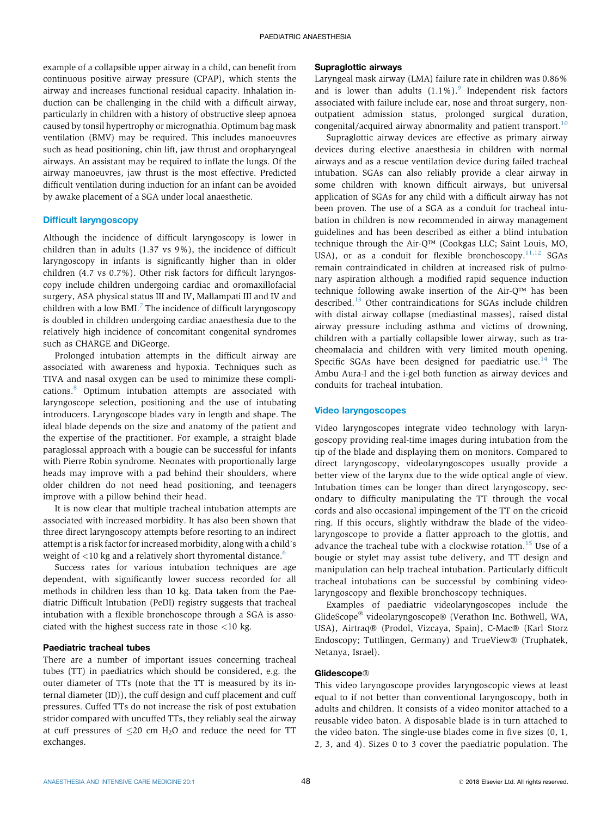example of a collapsible upper airway in a child, can benefit from continuous positive airway pressure (CPAP), which stents the airway and increases functional residual capacity. Inhalation induction can be challenging in the child with a difficult airway, particularly in children with a history of obstructive sleep apnoea caused by tonsil hypertrophy or micrognathia. Optimum bag mask ventilation (BMV) may be required. This includes manoeuvres such as head positioning, chin lift, jaw thrust and oropharyngeal airways. An assistant may be required to inflate the lungs. Of the airway manoeuvres, jaw thrust is the most effective. Predicted difficult ventilation during induction for an infant can be avoided by awake placement of a SGA under local anaesthetic.

#### Difficult laryngoscopy

Although the incidence of difficult laryngoscopy is lower in children than in adults (1.37 vs 9%), the incidence of difficult laryngoscopy in infants is significantly higher than in older children (4.7 vs 0.7%). Other risk factors for difficult laryngoscopy include children undergoing cardiac and oromaxillofacial surgery, ASA physical status III and IV, Mallampati III and IV and children with a low BMI. $<sup>7</sup>$  $<sup>7</sup>$  $<sup>7</sup>$  The incidence of difficult laryngoscopy</sup> is doubled in children undergoing cardiac anaesthesia due to the relatively high incidence of concomitant congenital syndromes such as CHARGE and DiGeorge.

Prolonged intubation attempts in the difficult airway are associated with awareness and hypoxia. Techniques such as TIVA and nasal oxygen can be used to minimize these complications.[8](#page-9-0) Optimum intubation attempts are associated with laryngoscope selection, positioning and the use of intubating introducers. Laryngoscope blades vary in length and shape. The ideal blade depends on the size and anatomy of the patient and the expertise of the practitioner. For example, a straight blade paraglossal approach with a bougie can be successful for infants with Pierre Robin syndrome. Neonates with proportionally large heads may improve with a pad behind their shoulders, where older children do not need head positioning, and teenagers improve with a pillow behind their head.

It is now clear that multiple tracheal intubation attempts are associated with increased morbidity. It has also been shown that three direct laryngoscopy attempts before resorting to an indirect attempt is a risk factor for increased morbidity, along with a child's weight of  $<$ 10 kg and a relatively short thyromental distance. $6$ 

Success rates for various intubation techniques are age dependent, with significantly lower success recorded for all methods in children less than 10 kg. Data taken from the Paediatric Difficult Intubation (PeDI) registry suggests that tracheal intubation with a flexible bronchoscope through a SGA is associated with the highest success rate in those <10 kg.

### Paediatric tracheal tubes

There are a number of important issues concerning tracheal tubes (TT) in paediatrics which should be considered, e.g. the outer diameter of TTs (note that the TT is measured by its internal diameter (ID)), the cuff design and cuff placement and cuff pressures. Cuffed TTs do not increase the risk of post extubation stridor compared with uncuffed TTs, they reliably seal the airway at cuff pressures of  $\leq$ 20 cm H<sub>2</sub>O and reduce the need for TT exchanges.

#### Supraglottic airways

Laryngeal mask airway (LMA) failure rate in children was 0.86% and is lower than adults  $(1.1\%)$ .<sup>[9](#page-9-0)</sup> Independent risk factors associated with failure include ear, nose and throat surgery, nonoutpatient admission status, prolonged surgical duration, congenital/acquired airway abnormality and patient transport.<sup>[10](#page-9-0)</sup>

Supraglottic airway devices are effective as primary airway devices during elective anaesthesia in children with normal airways and as a rescue ventilation device during failed tracheal intubation. SGAs can also reliably provide a clear airway in some children with known difficult airways, but universal application of SGAs for any child with a difficult airway has not been proven. The use of a SGA as a conduit for tracheal intubation in children is now recommended in airway management guidelines and has been described as either a blind intubation technique through the Air-Q<sup>TM</sup> (Cookgas LLC; Saint Louis, MO, USA), or as a conduit for flexible bronchoscopy.<sup>[11,12](#page-9-0)</sup> SGAs remain contraindicated in children at increased risk of pulmonary aspiration although a modified rapid sequence induction technique following awake insertion of the Air-Q<sup>TM</sup> has been described.[13](#page-9-0) Other contraindications for SGAs include children with distal airway collapse (mediastinal masses), raised distal airway pressure including asthma and victims of drowning, children with a partially collapsible lower airway, such as tracheomalacia and children with very limited mouth opening. Specific SGAs have been designed for paediatric use.<sup>[14](#page-9-0)</sup> The Ambu Aura-I and the i-gel both function as airway devices and conduits for tracheal intubation.

#### Video laryngoscopes

Video laryngoscopes integrate video technology with laryngoscopy providing real-time images during intubation from the tip of the blade and displaying them on monitors. Compared to direct laryngoscopy, videolaryngoscopes usually provide a better view of the larynx due to the wide optical angle of view. Intubation times can be longer than direct laryngoscopy, secondary to difficulty manipulating the TT through the vocal cords and also occasional impingement of the TT on the cricoid ring. If this occurs, slightly withdraw the blade of the videolaryngoscope to provide a flatter approach to the glottis, and advance the tracheal tube with a clockwise rotation.<sup>[15](#page-9-0)</sup> Use of a bougie or stylet may assist tube delivery, and TT design and manipulation can help tracheal intubation. Particularly difficult tracheal intubations can be successful by combining videolaryngoscopy and flexible bronchoscopy techniques.

Examples of paediatric videolaryngoscopes include the GlideScope<sup>®</sup> videolaryngoscope® (Verathon Inc. Bothwell, WA, USA), Airtraq® (Prodol, Vizcaya, Spain), C-Mac® (Karl Storz Endoscopy; Tuttlingen, Germany) and TrueView® (Truphatek, Netanya, Israel).

#### **Glidescope®**

This video laryngoscope provides laryngoscopic views at least equal to if not better than conventional laryngoscopy, both in adults and children. It consists of a video monitor attached to a reusable video baton. A disposable blade is in turn attached to the video baton. The single-use blades come in five sizes (0, 1, 2, 3, and 4). Sizes 0 to 3 cover the paediatric population. The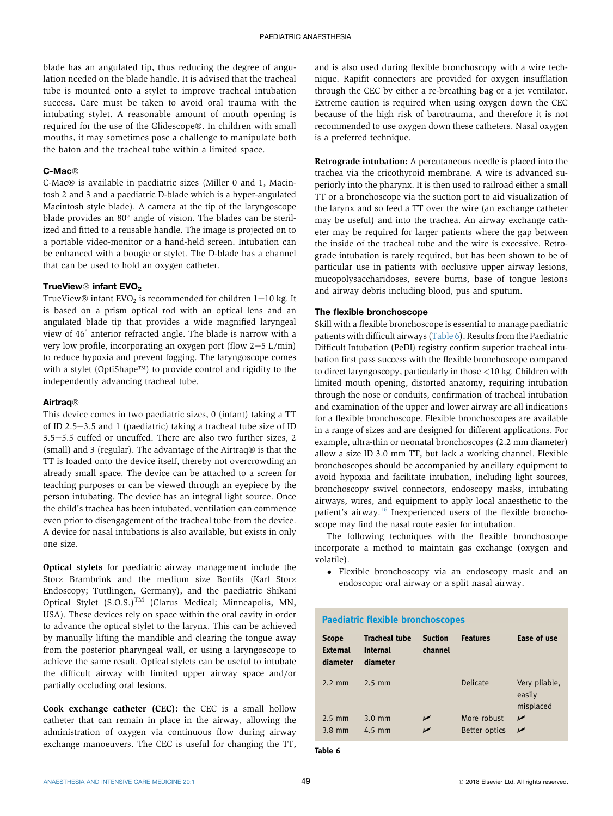<span id="page-7-0"></span>blade has an angulated tip, thus reducing the degree of angulation needed on the blade handle. It is advised that the tracheal tube is mounted onto a stylet to improve tracheal intubation success. Care must be taken to avoid oral trauma with the intubating stylet. A reasonable amount of mouth opening is required for the use of the Glidescope®. In children with small mouths, it may sometimes pose a challenge to manipulate both the baton and the tracheal tube within a limited space.

#### C-Mac

C-Mac® is available in paediatric sizes (Miller 0 and 1, Macintosh 2 and 3 and a paediatric D-blade which is a hyper-angulated Macintosh style blade). A camera at the tip of the laryngoscope blade provides an  $80^\circ$  angle of vision. The blades can be sterilized and fitted to a reusable handle. The image is projected on to a portable video-monitor or a hand-held screen. Intubation can be enhanced with a bougie or stylet. The D-blade has a channel that can be used to hold an oxygen catheter.

#### TrueView<sup>®</sup> infant EVO<sub>2</sub>

TrueView $\otimes$  infant EVO<sub>2</sub> is recommended for children  $1-10$  kg. It is based on a prism optical rod with an optical lens and an angulated blade tip that provides a wide magnified laryngeal view of 46 anterior refracted angle. The blade is narrow with a very low profile, incorporating an oxygen port (flow  $2-5$  L/min) to reduce hypoxia and prevent fogging. The laryngoscope comes with a stylet (OptiShape<sup>TM</sup>) to provide control and rigidity to the independently advancing tracheal tube.

#### **Airtrag**<sup>®</sup>

This device comes in two paediatric sizes, 0 (infant) taking a TT of ID 2.5 $-3.5$  and 1 (paediatric) taking a tracheal tube size of ID 3.5–5.5 cuffed or uncuffed. There are also two further sizes, 2 (small) and 3 (regular). The advantage of the Airtraq $\circledast$  is that the TT is loaded onto the device itself, thereby not overcrowding an already small space. The device can be attached to a screen for teaching purposes or can be viewed through an eyepiece by the person intubating. The device has an integral light source. Once the child's trachea has been intubated, ventilation can commence even prior to disengagement of the tracheal tube from the device. A device for nasal intubations is also available, but exists in only one size.

Optical stylets for paediatric airway management include the Storz Brambrink and the medium size Bonfils (Karl Storz Endoscopy; Tuttlingen, Germany), and the paediatric Shikani Optical Stylet  $(S.O.S.)^{TM}$  (Clarus Medical; Minneapolis, MN, USA). These devices rely on space within the oral cavity in order to advance the optical stylet to the larynx. This can be achieved by manually lifting the mandible and clearing the tongue away from the posterior pharyngeal wall, or using a laryngoscope to achieve the same result. Optical stylets can be useful to intubate the difficult airway with limited upper airway space and/or partially occluding oral lesions.

Cook exchange catheter (CEC): the CEC is a small hollow catheter that can remain in place in the airway, allowing the administration of oxygen via continuous flow during airway exchange manoeuvers. The CEC is useful for changing the TT,

and is also used during flexible bronchoscopy with a wire technique. Rapifit connectors are provided for oxygen insufflation through the CEC by either a re-breathing bag or a jet ventilator. Extreme caution is required when using oxygen down the CEC because of the high risk of barotrauma, and therefore it is not recommended to use oxygen down these catheters. Nasal oxygen is a preferred technique.

Retrograde intubation: A percutaneous needle is placed into the trachea via the cricothyroid membrane. A wire is advanced superiorly into the pharynx. It is then used to railroad either a small TT or a bronchoscope via the suction port to aid visualization of the larynx and so feed a TT over the wire (an exchange catheter may be useful) and into the trachea. An airway exchange catheter may be required for larger patients where the gap between the inside of the tracheal tube and the wire is excessive. Retrograde intubation is rarely required, but has been shown to be of particular use in patients with occlusive upper airway lesions, mucopolysaccharidoses, severe burns, base of tongue lesions and airway debris including blood, pus and sputum.

#### The flexible bronchoscope

Skill with a flexible bronchoscope is essential to manage paediatric patients with difficult airways (Table 6). Results from the Paediatric Difficult Intubation (PeDI) registry confirm superior tracheal intubation first pass success with the flexible bronchoscope compared to direct laryngoscopy, particularly in those <10 kg. Children with limited mouth opening, distorted anatomy, requiring intubation through the nose or conduits, confirmation of tracheal intubation and examination of the upper and lower airway are all indications for a flexible bronchoscope. Flexible bronchoscopes are available in a range of sizes and are designed for different applications. For example, ultra-thin or neonatal bronchoscopes (2.2 mm diameter) allow a size ID 3.0 mm TT, but lack a working channel. Flexible bronchoscopes should be accompanied by ancillary equipment to avoid hypoxia and facilitate intubation, including light sources, bronchoscopy swivel connectors, endoscopy masks, intubating airways, wires, and equipment to apply local anaesthetic to the patient's airway.[16](#page-9-0) Inexperienced users of the flexible bronchoscope may find the nasal route easier for intubation.

The following techniques with the flexible bronchoscope incorporate a method to maintain gas exchange (oxygen and volatile).

 Flexible bronchoscopy via an endoscopy mask and an endoscopic oral airway or a split nasal airway.

## Paediatric flexible bronchoscopes

| <b>Scope</b><br><b>External</b><br>diameter | <b>Tracheal tube</b><br><b>Internal</b><br>diameter | <b>Suction</b><br>channel | <b>Features</b>              | Ease of use                          |
|---------------------------------------------|-----------------------------------------------------|---------------------------|------------------------------|--------------------------------------|
| $2.2 \text{ mm}$                            | $2.5$ mm                                            |                           | Delicate                     | Very pliable,<br>easily<br>misplaced |
| $2.5$ mm<br>$3.8$ mm                        | $3.0 \text{ mm}$<br>$4.5$ mm                        | مما<br>حما                | More robust<br>Better optics | مما<br>مما                           |
|                                             |                                                     |                           |                              |                                      |

Table 6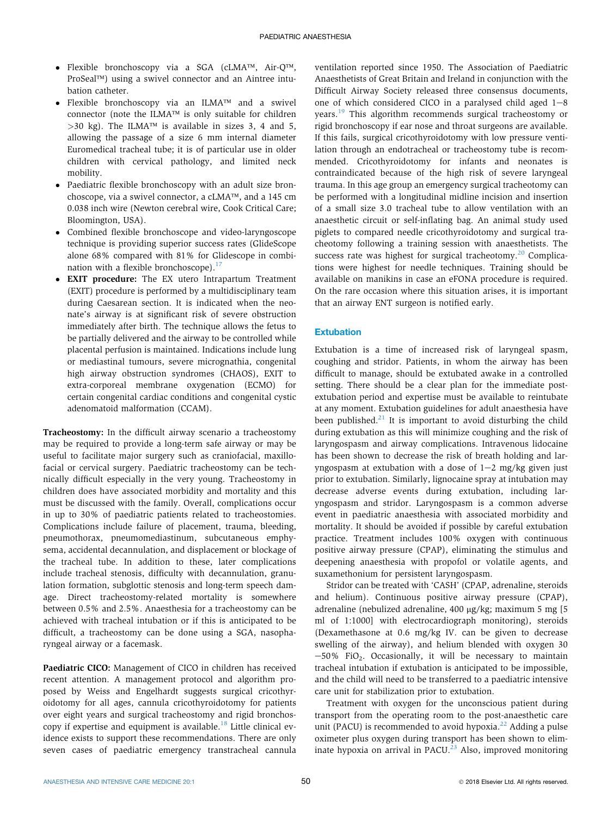- Flexible bronchoscopy via a SGA ( $cLMA^{TM}$ , Air-Q<sup>TM</sup>,  $ProSeal<sup>TM</sup>$  using a swivel connector and an Aintree intubation catheter.
- $\bullet$  Flexible bronchoscopy via an ILMA<sup>TM</sup> and a swivel connector (note the ILMA $TM$  is only suitable for children  $>$ 30 kg). The ILMA<sup>TM</sup> is available in sizes 3, 4 and 5, allowing the passage of a size 6 mm internal diameter Euromedical tracheal tube; it is of particular use in older children with cervical pathology, and limited neck mobility.
- Paediatric flexible bronchoscopy with an adult size bronchoscope, via a swivel connector, a cLMA $TM$ , and a 145 cm 0.038 inch wire (Newton cerebral wire, Cook Critical Care; Bloomington, USA).
- Combined flexible bronchoscope and video-laryngoscope technique is providing superior success rates (GlideScope alone 68% compared with 81% for Glidescope in combination with a flexible bronchoscope). $17$
- EXIT procedure: The EX utero Intrapartum Treatment (EXIT) procedure is performed by a multidisciplinary team during Caesarean section. It is indicated when the neonate's airway is at significant risk of severe obstruction immediately after birth. The technique allows the fetus to be partially delivered and the airway to be controlled while placental perfusion is maintained. Indications include lung or mediastinal tumours, severe micrognathia, congenital high airway obstruction syndromes (CHAOS), EXIT to extra-corporeal membrane oxygenation (ECMO) for certain congenital cardiac conditions and congenital cystic adenomatoid malformation (CCAM).

Tracheostomy: In the difficult airway scenario a tracheostomy may be required to provide a long-term safe airway or may be useful to facilitate major surgery such as craniofacial, maxillofacial or cervical surgery. Paediatric tracheostomy can be technically difficult especially in the very young. Tracheostomy in children does have associated morbidity and mortality and this must be discussed with the family. Overall, complications occur in up to 30% of paediatric patients related to tracheostomies. Complications include failure of placement, trauma, bleeding, pneumothorax, pneumomediastinum, subcutaneous emphysema, accidental decannulation, and displacement or blockage of the tracheal tube. In addition to these, later complications include tracheal stenosis, difficulty with decannulation, granulation formation, subglottic stenosis and long-term speech damage. Direct tracheostomy-related mortality is somewhere between 0.5% and 2.5%. Anaesthesia for a tracheostomy can be achieved with tracheal intubation or if this is anticipated to be difficult, a tracheostomy can be done using a SGA, nasopharyngeal airway or a facemask.

Paediatric CICO: Management of CICO in children has received recent attention. A management protocol and algorithm proposed by Weiss and Engelhardt suggests surgical cricothyroidotomy for all ages, cannula cricothyroidotomy for patients over eight years and surgical tracheostomy and rigid bronchos-copy if expertise and equipment is available.<sup>[18](#page-9-0)</sup> Little clinical evidence exists to support these recommendations. There are only seven cases of paediatric emergency transtracheal cannula

ventilation reported since 1950. The Association of Paediatric Anaesthetists of Great Britain and Ireland in conjunction with the Difficult Airway Society released three consensus documents, one of which considered CICO in a paralysed child aged  $1-8$ years.[19](#page-9-0) This algorithm recommends surgical tracheostomy or rigid bronchoscopy if ear nose and throat surgeons are available. If this fails, surgical cricothyroidotomy with low pressure ventilation through an endotracheal or tracheostomy tube is recommended. Cricothyroidotomy for infants and neonates is contraindicated because of the high risk of severe laryngeal trauma. In this age group an emergency surgical tracheotomy can be performed with a longitudinal midline incision and insertion of a small size 3.0 tracheal tube to allow ventilation with an anaesthetic circuit or self-inflating bag. An animal study used piglets to compared needle cricothyroidotomy and surgical tracheotomy following a training session with anaesthetists. The success rate was highest for surgical tracheotomy.<sup>[20](#page-9-0)</sup> Complications were highest for needle techniques. Training should be available on manikins in case an eFONA procedure is required. On the rare occasion where this situation arises, it is important that an airway ENT surgeon is notified early.

# **Extubation**

Extubation is a time of increased risk of laryngeal spasm, coughing and stridor. Patients, in whom the airway has been difficult to manage, should be extubated awake in a controlled setting. There should be a clear plan for the immediate postextubation period and expertise must be available to reintubate at any moment. Extubation guidelines for adult anaesthesia have been published.<sup>[21](#page-9-0)</sup> It is important to avoid disturbing the child during extubation as this will minimize coughing and the risk of laryngospasm and airway complications. Intravenous lidocaine has been shown to decrease the risk of breath holding and laryngospasm at extubation with a dose of  $1-2$  mg/kg given just prior to extubation. Similarly, lignocaine spray at intubation may decrease adverse events during extubation, including laryngospasm and stridor. Laryngospasm is a common adverse event in paediatric anaesthesia with associated morbidity and mortality. It should be avoided if possible by careful extubation practice. Treatment includes 100% oxygen with continuous positive airway pressure (CPAP), eliminating the stimulus and deepening anaesthesia with propofol or volatile agents, and suxamethonium for persistent laryngospasm.

Stridor can be treated with 'CASH' (CPAP, adrenaline, steroids and helium). Continuous positive airway pressure (CPAP), adrenaline (nebulized adrenaline, 400 µg/kg; maximum 5 mg [5] ml of 1:1000] with electrocardiograph monitoring), steroids (Dexamethasone at 0.6 mg/kg IV. can be given to decrease swelling of the airway), and helium blended with oxygen 30  $-50\%$  FiO<sub>2</sub>. Occasionally, it will be necessary to maintain tracheal intubation if extubation is anticipated to be impossible, and the child will need to be transferred to a paediatric intensive care unit for stabilization prior to extubation.

Treatment with oxygen for the unconscious patient during transport from the operating room to the post-anaesthetic care unit (PACU) is recommended to avoid hypoxia.<sup>[22](#page-9-0)</sup> Adding a pulse oximeter plus oxygen during transport has been shown to elim-inate hypoxia on arrival in PACU.<sup>[23](#page-9-0)</sup> Also, improved monitoring